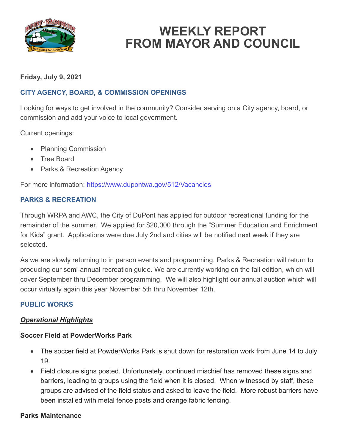

# **WEEKLY REPORT FROM MAYOR AND COUNCIL**

# **Friday, July 9, 2021**

# **CITY AGENCY, BOARD, & COMMISSION OPENINGS**

Looking for ways to get involved in the community? Consider serving on a City agency, board, or commission and add your voice to local government.

Current openings:

- Planning Commission
- Tree Board
- Parks & Recreation Agency

For more information:<https://www.dupontwa.gov/512/Vacancies>

## **PARKS & RECREATION**

Through WRPA and AWC, the City of DuPont has applied for outdoor recreational funding for the remainder of the summer. We applied for \$20,000 through the "Summer Education and Enrichment for Kids" grant. Applications were due July 2nd and cities will be notified next week if they are selected.

As we are slowly returning to in person events and programming, Parks & Recreation will return to producing our semi-annual recreation guide. We are currently working on the fall edition, which will cover September thru December programming. We will also highlight our annual auction which will occur virtually again this year November 5th thru November 12th.

#### **PUBLIC WORKS**

#### *Operational Highlights*

#### **Soccer Field at PowderWorks Park**

- The soccer field at PowderWorks Park is shut down for restoration work from June 14 to July 19.
- Field closure signs posted. Unfortunately, continued mischief has removed these signs and barriers, leading to groups using the field when it is closed. When witnessed by staff, these groups are advised of the field status and asked to leave the field. More robust barriers have been installed with metal fence posts and orange fabric fencing.

#### **Parks Maintenance**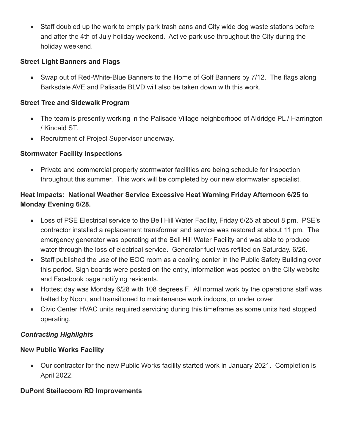• Staff doubled up the work to empty park trash cans and City wide dog waste stations before and after the 4th of July holiday weekend. Active park use throughout the City during the holiday weekend.

# **Street Light Banners and Flags**

• Swap out of Red-White-Blue Banners to the Home of Golf Banners by 7/12. The flags along Barksdale AVE and Palisade BLVD will also be taken down with this work.

# **Street Tree and Sidewalk Program**

- The team is presently working in the Palisade Village neighborhood of Aldridge PL / Harrington / Kincaid ST.
- Recruitment of Project Supervisor underway.

# **Stormwater Facility Inspections**

• Private and commercial property stormwater facilities are being schedule for inspection throughout this summer. This work will be completed by our new stormwater specialist.

# **Heat Impacts: National Weather Service Excessive Heat Warning Friday Afternoon 6/25 to Monday Evening 6/28.**

- Loss of PSE Electrical service to the Bell Hill Water Facility, Friday 6/25 at about 8 pm. PSE's contractor installed a replacement transformer and service was restored at about 11 pm. The emergency generator was operating at the Bell Hill Water Facility and was able to produce water through the loss of electrical service. Generator fuel was refilled on Saturday. 6/26.
- Staff published the use of the EOC room as a cooling center in the Public Safety Building over this period. Sign boards were posted on the entry, information was posted on the City website and Facebook page notifying residents.
- Hottest day was Monday 6/28 with 108 degrees F. All normal work by the operations staff was halted by Noon, and transitioned to maintenance work indoors, or under cover.
- Civic Center HVAC units required servicing during this timeframe as some units had stopped operating.

## *Contracting Highlights*

## **New Public Works Facility**

• Our contractor for the new Public Works facility started work in January 2021. Completion is April 2022.

# **DuPont Steilacoom RD Improvements**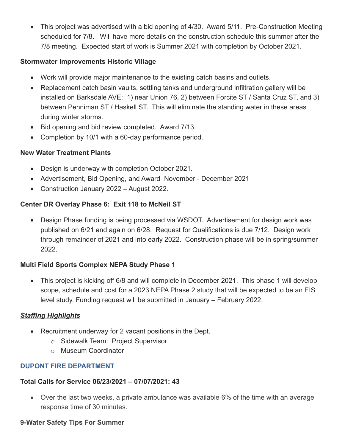• This project was advertised with a bid opening of 4/30. Award 5/11. Pre-Construction Meeting scheduled for 7/8. Will have more details on the construction schedule this summer after the 7/8 meeting. Expected start of work is Summer 2021 with completion by October 2021.

# **Stormwater Improvements Historic Village**

- Work will provide major maintenance to the existing catch basins and outlets.
- Replacement catch basin vaults, settling tanks and underground infiltration gallery will be installed on Barksdale AVE: 1) near Union 76, 2) between Forcite ST / Santa Cruz ST, and 3) between Penniman ST / Haskell ST. This will eliminate the standing water in these areas during winter storms.
- Bid opening and bid review completed. Award 7/13.
- Completion by 10/1 with a 60-day performance period.

# **New Water Treatment Plants**

- Design is underway with completion October 2021.
- Advertisement, Bid Opening, and Award November December 2021
- Construction January 2022 August 2022.

# **Center DR Overlay Phase 6: Exit 118 to McNeil ST**

• Design Phase funding is being processed via WSDOT. Advertisement for design work was published on 6/21 and again on 6/28. Request for Qualifications is due 7/12. Design work through remainder of 2021 and into early 2022. Construction phase will be in spring/summer 2022.

# **Multi Field Sports Complex NEPA Study Phase 1**

• This project is kicking off 6/8 and will complete in December 2021. This phase 1 will develop scope, schedule and cost for a 2023 NEPA Phase 2 study that will be expected to be an EIS level study. Funding request will be submitted in January – February 2022.

# *Staffing Highlights*

- Recruitment underway for 2 vacant positions in the Dept.
	- o Sidewalk Team: Project Supervisor
	- o Museum Coordinator

# **DUPONT FIRE DEPARTMENT**

## **Total Calls for Service 06/23/2021 – 07/07/2021: 43**

• Over the last two weeks, a private ambulance was available 6% of the time with an average response time of 30 minutes.

## **9-Water Safety Tips For Summer**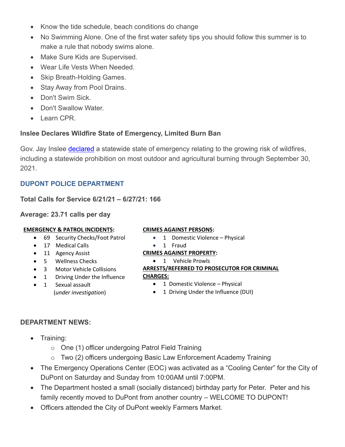- Know the tide schedule, beach conditions do change
- No Swimming Alone. One of the first water safety tips you should follow this summer is to make a rule that nobody swims alone.
- Make Sure Kids are Supervised.
- Wear Life Vests When Needed.
- Skip Breath-Holding Games.
- Stay Away from Pool Drains.
- Don't Swim Sick.
- Don't Swallow Water.
- Learn CPR.

# **Inslee Declares Wildfire State of Emergency, Limited Burn Ban**

Gov. Jay Inslee [declared](https://www.governor.wa.gov/news-media/inslee-declares-wildfire-state-emergency-limited-burn-ban?fbclid=IwAR3xTI8nO0RaWDI0L_PPpGTgu5ZUp3lbkMfYJL3LWL9mPmFVfYVK27h8fRc) a statewide state of emergency relating to the growing risk of wildfires, including a statewide prohibition on most outdoor and agricultural burning through September 30, 2021.

# **DUPONT POLICE DEPARTMENT**

**Total Calls for Service 6/21/21 – 6/27/21: 166**

**Average: 23.71 calls per day**

- 69 Security Checks/Foot Patrol
- 17 Medical Calls
- 11 Agency Assist
- 5 Wellness Checks
- 3 Motor Vehicle Collisions
- 1 Driving Under the Influence
- 1 Sexual assault (*under investigation*)

## **CRIMES AGAINST PERSONS:**

- 1 Domestic Violence Physical
- 1 Fraud

## **CRIMES AGAINST PROPERTY:**

• 1 Vehicle Prowls

## **ARRESTS/REFERRED TO PROSECUTOR FOR CRIMINAL**

#### **CHARGES:**

- 1 Domestic Violence Physical
- 1 Driving Under the Influence (DUI)

# **DEPARTMENT NEWS:**

- Training:
	- o One (1) officer undergoing Patrol Field Training
	- o Two (2) officers undergoing Basic Law Enforcement Academy Training
- The Emergency Operations Center (EOC) was activated as a "Cooling Center" for the City of DuPont on Saturday and Sunday from 10:00AM until 7:00PM.
- The Department hosted a small (socially distanced) birthday party for Peter. Peter and his family recently moved to DuPont from another country – WELCOME TO DUPONT! EMERGENCY & PATROL INCIDENTS:<br>
• Of Security Checks/Foot Patrol<br>
• 11 Agency Assist<br>
• 15 Wellness Checks<br>
• 3 Motor Vehicle Collisions<br>
• 1 Vehicle Prowns<br>
• 3 Motor Vehicle Collisions<br>
• 1 Sexual assault<br>
• 1 Domestic
	-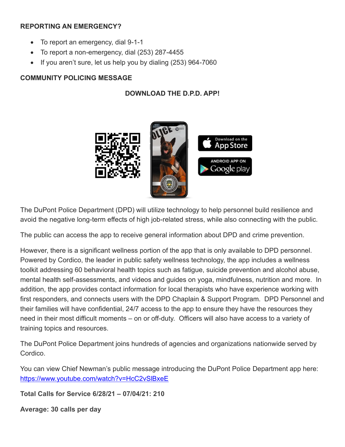## **REPORTING AN EMERGENCY?**

- To report an emergency, dial 9-1-1
- To report a non-emergency, dial (253) 287-4455
- If you aren't sure, let us help you by dialing (253) 964-7060

# **COMMUNITY POLICING MESSAGE**

# **DOWNLOAD THE D.P.D. APP!**



The DuPont Police Department (DPD) will utilize technology to help personnel build resilience and avoid the negative long-term effects of high job-related stress, while also connecting with the public.

The public can access the app to receive general information about DPD and crime prevention.

However, there is a significant wellness portion of the app that is only available to DPD personnel. Powered by Cordico, the leader in public safety wellness technology, the app includes a wellness toolkit addressing 60 behavioral health topics such as fatigue, suicide prevention and alcohol abuse, mental health self-assessments, and videos and guides on yoga, mindfulness, nutrition and more. In addition, the app provides contact information for local therapists who have experience working with first responders, and connects users with the DPD Chaplain & Support Program. DPD Personnel and their families will have confidential, 24/7 access to the app to ensure they have the resources they need in their most difficult moments – on or off-duty. Officers will also have access to a variety of training topics and resources.

The DuPont Police Department joins hundreds of agencies and organizations nationwide served by Cordico.

You can view Chief Newman's public message introducing the DuPont Police Department app here: <https://www.youtube.com/watch?v=HcC2vSlBxeE>

**Total Calls for Service 6/28/21 – 07/04/21: 210**

**Average: 30 calls per day**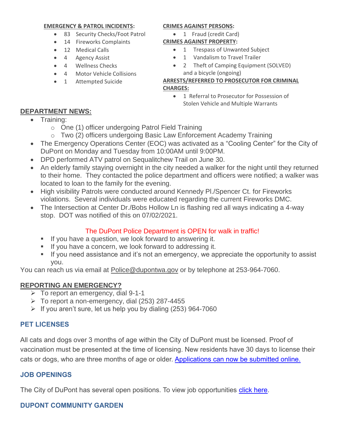#### **EMERGENCY & PATROL INCIDENTS:**

- 83 Security Checks/Foot Patrol
- 14 Fireworks Complaints
- 12 Medical Calls
- 4 Agency Assist
- 4 Wellness Checks
- 4 Motor Vehicle Collisions
- 1 Attempted Suicide

#### **CRIMES AGAINST PERSONS:**

- 1 Fraud (credit Card) **CRIMES AGAINST PROPERTY:**
	- 1 Trespass of Unwanted Subject
	- 1 Vandalism to Travel Trailer
	- 2 Theft of Camping Equipment (SOLVED) and a bicycle (ongoing)

#### **ARRESTS/REFERRED TO PROSECUTOR FOR CRIMINAL CHARGES:**

• 1 Referral to Prosecutor for Possession of Stolen Vehicle and Multiple Warrants

#### **DEPARTMENT NEWS:**

- Training:
	- o One (1) officer undergoing Patrol Field Training
	- o Two (2) officers undergoing Basic Law Enforcement Academy Training
- The Emergency Operations Center (EOC) was activated as a "Cooling Center" for the City of DuPont on Monday and Tuesday from 10:00AM until 9:00PM.
- DPD performed ATV patrol on Sequalitchew Trail on June 30.
- An elderly family staying overnight in the city needed a walker for the night until they returned to their home. They contacted the police department and officers were notified; a walker was located to loan to the family for the evening.
- High visibility Patrols were conducted around Kennedy Pl./Spencer Ct. for Fireworks violations. Several individuals were educated regarding the current Fireworks DMC.
- The Intersection at Center Dr./Bobs Hollow Ln is flashing red all ways indicating a 4-way stop. DOT was notified of this on 07/02/2021.

# The DuPont Police Department is OPEN for walk in traffic!

- If you have a question, we look forward to answering it.
- If you have a concern, we look forward to addressing it.
- If you need assistance and it's not an emergency, we appreciate the opportunity to assist you.

You can reach us via email at [Police@dupontwa.gov](mailto:Police@dupontwa.gov) or by telephone at 253-964-7060.

## **REPORTING AN EMERGENCY?**

- $\triangleright$  To report an emergency, dial 9-1-1
- $\triangleright$  To report a non-emergency, dial (253) 287-4455
- $\triangleright$  If you aren't sure, let us help you by dialing (253) 964-7060

## **PET LICENSES**

All cats and dogs over 3 months of age within the City of DuPont must be licensed. Proof of vaccination must be presented at the time of licensing. New residents have 30 days to license their cats or dogs, who are three months of age or older. [Applications can now be submitted online.](https://www.dupontwa.gov/211/Animal-Control-Pet-Licensing)

## **JOB OPENINGS**

The City of DuPont has several open positions. To view job opportunities [click here.](https://www.governmentjobs.com/careers/dupontwa?)

# **DUPONT COMMUNITY GARDEN**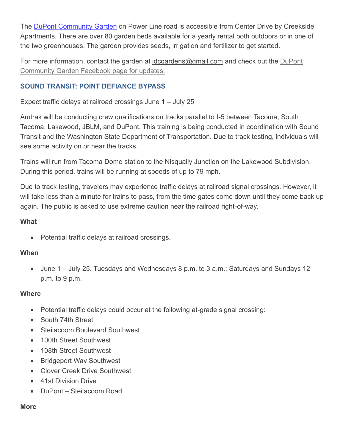The DuPont [Community](https://www.dupontwa.gov/Facilities/Facility/Details/DuPont-Community-Garden-39) Garden on Power Line road is accessible from Center Drive by Creekside Apartments. There are over 80 garden beds available for a yearly rental both outdoors or in one of the two greenhouses. The garden provides seeds, irrigation and fertilizer to get started.

For more information, contact the garden at [idcgardens@gmail.com](mailto:idcgardens@gmail.com) and check out the DuPont Community Garden Facebook page for updates.

# **SOUND TRANSIT: POINT DEFIANCE BYPASS**

Expect traffic delays at railroad crossings June 1 – July 25

Amtrak will be conducting crew qualifications on tracks parallel to I-5 between Tacoma, South Tacoma, Lakewood, JBLM, and DuPont. This training is being conducted in coordination with Sound Transit and the Washington State Department of Transportation. Due to track testing, individuals will see some activity on or near the tracks.

Trains will run from Tacoma Dome station to the Nisqually Junction on the Lakewood Subdivision. During this period, trains will be running at speeds of up to 79 mph.

Due to track testing, travelers may experience traffic delays at railroad signal crossings. However, it will take less than a minute for trains to pass, from the time gates come down until they come back up again. The public is asked to use extreme caution near the railroad right-of-way.

# **What**

• Potential traffic delays at railroad crossings.

## **When**

• June 1 – July 25. Tuesdays and Wednesdays 8 p.m. to 3 a.m.; Saturdays and Sundays 12 p.m. to 9 p.m.

## **Where**

- Potential traffic delays could occur at the following at-grade signal crossing:
- South 74th Street
- Steilacoom Boulevard Southwest
- 100th Street Southwest
- 108th Street Southwest
- Bridgeport Way Southwest
- Clover Creek Drive Southwest
- 41st Division Drive
- DuPont Steilacoom Road

#### **More**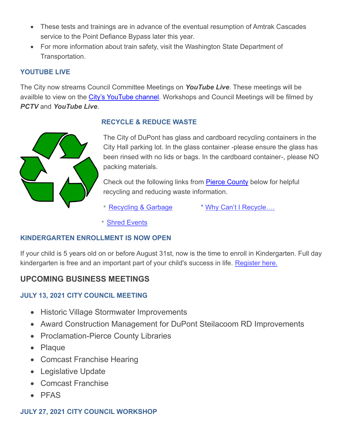- These tests and trainings are in advance of the eventual resumption of Amtrak Cascades service to the Point Defiance Bypass later this year.
- For more information about train safety, visit the Washington State Department of Transportation.

# **YOUTUBE LIVE**

The City now streams Council Committee Meetings on *YouTube Live*. These meetings will be availble to view on the [City's YouTube channel.](https://www.youtube.com/channel/UCl-nrLK1wNfpq3_CeNJw40A?view_as=subscriber) Workshops and Council Meetings will be filmed by *PCTV* and *YouTube Live*.



# **RECYCLE & REDUCE WASTE**

The City of DuPont has glass and cardboard recycling containers in the City Hall parking lot. In the glass container -please ensure the glass has been rinsed with no lids or bags. In the cardboard container-, please NO packing materials.

Check out the following links from **Pierce County** below for helpful recycling and reducing waste information.

\* [Recycling & Garbage](https://www.co.pierce.wa.us/DocumentCenter/View/57949/2019_Reminders_WEB?bidId) \* [Why Can't I Recycle….](https://www.co.pierce.wa.us/5189/Why-Cant-I-Recycle)

\* [Shred Events](https://www.co.pierce.wa.us/1536/Shred-Events)

## **KINDERGARTEN ENROLLMENT IS NOW OPEN**

If your child is 5 years old on or before August 31st, now is the time to enroll in Kindergarten. Full day kindergarten is free and an important part of your child's success in life. [Register here.](https://www.steilacoom.k12.wa.us/Domain/36)

# **UPCOMING BUSINESS MEETINGS**

# **JULY 13, 2021 CITY COUNCIL MEETING**

- Historic Village Stormwater Improvements
- Award Construction Management for DuPont Steilacoom RD Improvements
- Proclamation-Pierce County Libraries
- Plaque
- Comcast Franchise Hearing
- Legislative Update
- Comcast Franchise
- PFAS

## **JULY 27, 2021 CITY COUNCIL WORKSHOP**